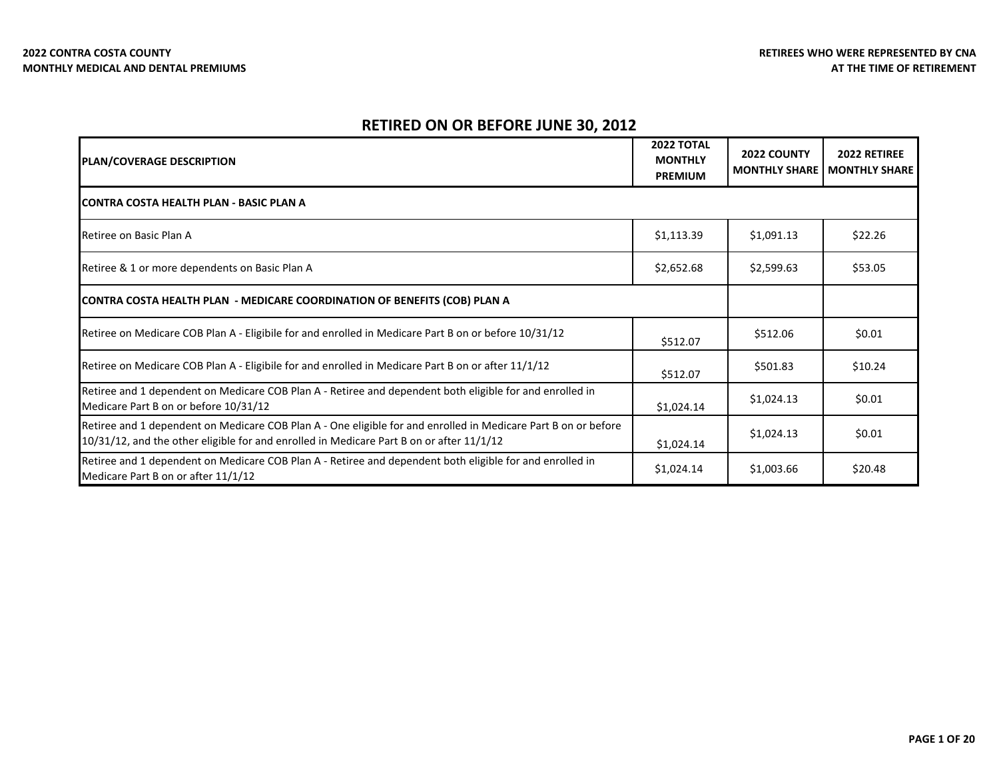| <b>PLAN/COVERAGE DESCRIPTION</b>                                                                                                                                                                           | <b>2022 TOTAL</b><br><b>MONTHLY</b><br><b>PREMIUM</b> | <b>2022 COUNTY</b><br><b>MONTHLY SHARE</b> | <b>2022 RETIREE</b><br><b>MONTHLY SHARE</b> |
|------------------------------------------------------------------------------------------------------------------------------------------------------------------------------------------------------------|-------------------------------------------------------|--------------------------------------------|---------------------------------------------|
| <b>ICONTRA COSTA HEALTH PLAN - BASIC PLAN A</b>                                                                                                                                                            |                                                       |                                            |                                             |
| Retiree on Basic Plan A                                                                                                                                                                                    | \$1,113.39                                            | \$1,091.13                                 | \$22.26                                     |
| Retiree & 1 or more dependents on Basic Plan A                                                                                                                                                             | \$2,652.68                                            | \$2,599.63                                 | \$53.05                                     |
| CONTRA COSTA HEALTH PLAN - MEDICARE COORDINATION OF BENEFITS (COB) PLAN A                                                                                                                                  |                                                       |                                            |                                             |
| Retiree on Medicare COB Plan A - Eligibile for and enrolled in Medicare Part B on or before 10/31/12                                                                                                       | \$512.07                                              | \$512.06                                   | \$0.01                                      |
| Retiree on Medicare COB Plan A - Eligibile for and enrolled in Medicare Part B on or after 11/1/12                                                                                                         | \$512.07                                              | \$501.83                                   | \$10.24                                     |
| Retiree and 1 dependent on Medicare COB Plan A - Retiree and dependent both eligible for and enrolled in<br>Medicare Part B on or before 10/31/12                                                          | \$1,024.14                                            | \$1,024.13                                 | \$0.01                                      |
| Retiree and 1 dependent on Medicare COB Plan A - One eligible for and enrolled in Medicare Part B on or before<br>10/31/12, and the other eligible for and enrolled in Medicare Part B on or after 11/1/12 | \$1,024.14                                            | \$1,024.13                                 | \$0.01                                      |
| Retiree and 1 dependent on Medicare COB Plan A - Retiree and dependent both eligible for and enrolled in<br>Medicare Part B on or after 11/1/12                                                            | \$1,024.14                                            | \$1,003.66                                 | \$20.48                                     |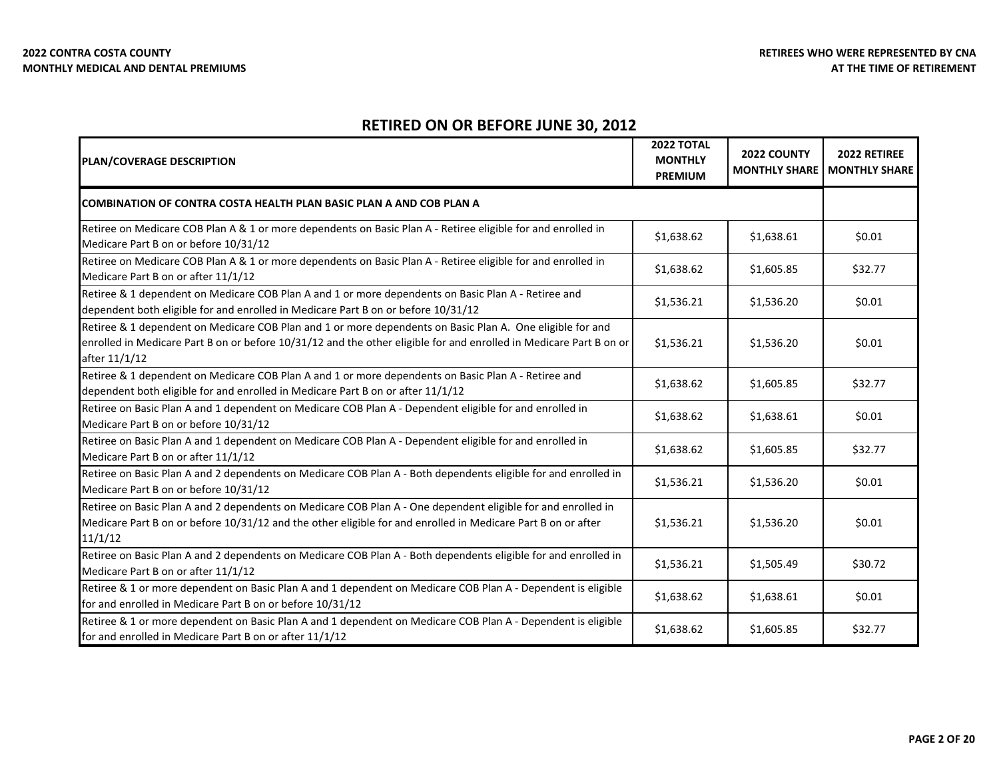| <b>PLAN/COVERAGE DESCRIPTION</b>                                                                                                                                                                                                                 | <b>2022 TOTAL</b><br><b>MONTHLY</b><br><b>PREMIUM</b> | 2022 COUNTY<br><b>MONTHLY SHARE</b> | 2022 RETIREE<br><b>MONTHLY SHARE</b> |
|--------------------------------------------------------------------------------------------------------------------------------------------------------------------------------------------------------------------------------------------------|-------------------------------------------------------|-------------------------------------|--------------------------------------|
| <b>I</b> COMBINATION OF CONTRA COSTA HEALTH PLAN BASIC PLAN A AND COB PLAN A                                                                                                                                                                     |                                                       |                                     |                                      |
| Retiree on Medicare COB Plan A & 1 or more dependents on Basic Plan A - Retiree eligible for and enrolled in<br>Medicare Part B on or before 10/31/12                                                                                            | \$1,638.62                                            | \$1,638.61                          | \$0.01                               |
| Retiree on Medicare COB Plan A & 1 or more dependents on Basic Plan A - Retiree eligible for and enrolled in<br>Medicare Part B on or after 11/1/12                                                                                              | \$1,638.62                                            | \$1,605.85                          | \$32.77                              |
| Retiree & 1 dependent on Medicare COB Plan A and 1 or more dependents on Basic Plan A - Retiree and<br>dependent both eligible for and enrolled in Medicare Part B on or before 10/31/12                                                         | \$1,536.21                                            | \$1,536.20                          | \$0.01                               |
| Retiree & 1 dependent on Medicare COB Plan and 1 or more dependents on Basic Plan A. One eligible for and<br>enrolled in Medicare Part B on or before 10/31/12 and the other eligible for and enrolled in Medicare Part B on or<br>after 11/1/12 | \$1,536.21                                            | \$1,536.20                          | \$0.01                               |
| Retiree & 1 dependent on Medicare COB Plan A and 1 or more dependents on Basic Plan A - Retiree and<br>dependent both eligible for and enrolled in Medicare Part B on or after 11/1/12                                                           | \$1,638.62                                            | \$1,605.85                          | \$32.77                              |
| Retiree on Basic Plan A and 1 dependent on Medicare COB Plan A - Dependent eligible for and enrolled in<br>Medicare Part B on or before 10/31/12                                                                                                 | \$1,638.62                                            | \$1,638.61                          | \$0.01                               |
| Retiree on Basic Plan A and 1 dependent on Medicare COB Plan A - Dependent eligible for and enrolled in<br>Medicare Part B on or after 11/1/12                                                                                                   | \$1,638.62                                            | \$1,605.85                          | \$32.77                              |
| Retiree on Basic Plan A and 2 dependents on Medicare COB Plan A - Both dependents eligible for and enrolled in<br>Medicare Part B on or before 10/31/12                                                                                          | \$1,536.21                                            | \$1,536.20                          | \$0.01                               |
| Retiree on Basic Plan A and 2 dependents on Medicare COB Plan A - One dependent eligible for and enrolled in<br>Medicare Part B on or before 10/31/12 and the other eligible for and enrolled in Medicare Part B on or after<br>11/1/12          | \$1,536.21                                            | \$1,536.20                          | \$0.01                               |
| Retiree on Basic Plan A and 2 dependents on Medicare COB Plan A - Both dependents eligible for and enrolled in<br>Medicare Part B on or after 11/1/12                                                                                            | \$1,536.21                                            | \$1,505.49                          | \$30.72                              |
| Retiree & 1 or more dependent on Basic Plan A and 1 dependent on Medicare COB Plan A - Dependent is eligible<br>for and enrolled in Medicare Part B on or before 10/31/12                                                                        | \$1,638.62                                            | \$1,638.61                          | \$0.01                               |
| Retiree & 1 or more dependent on Basic Plan A and 1 dependent on Medicare COB Plan A - Dependent is eligible<br>for and enrolled in Medicare Part B on or after 11/1/12                                                                          | \$1,638.62                                            | \$1,605.85                          | \$32.77                              |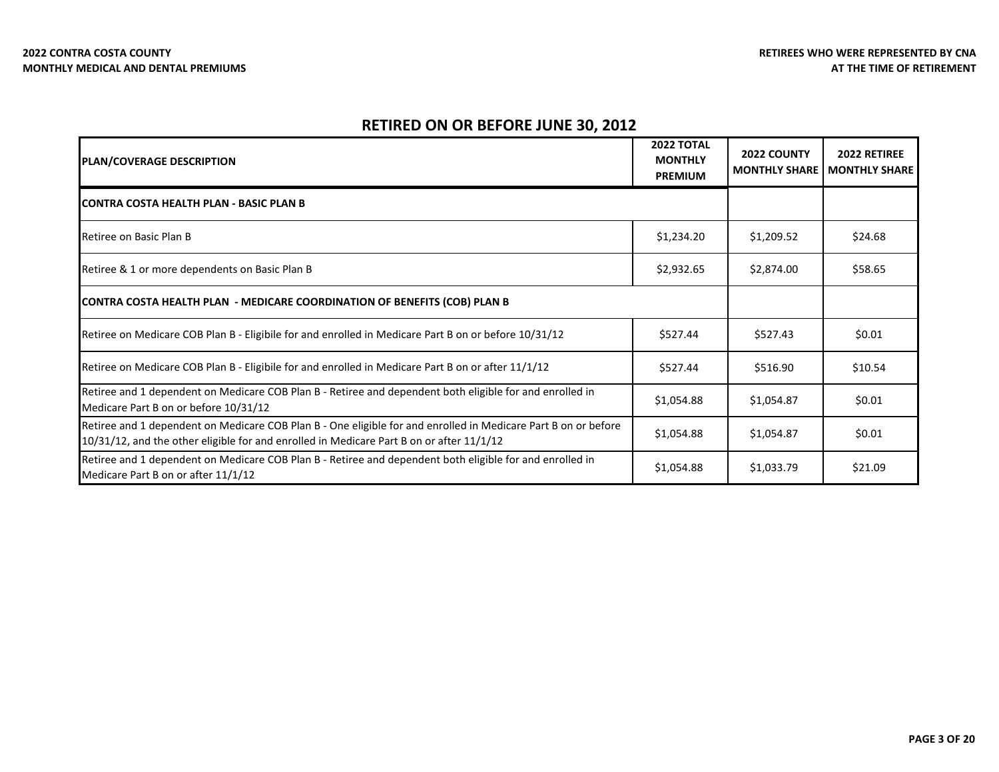| <b>PLAN/COVERAGE DESCRIPTION</b>                                                                                                                                                                           | 2022 TOTAL<br><b>MONTHLY</b><br><b>PREMIUM</b> | <b>2022 COUNTY</b><br><b>MONTHLY SHARE</b> | 2022 RETIREE<br><b>MONTHLY SHARE</b> |
|------------------------------------------------------------------------------------------------------------------------------------------------------------------------------------------------------------|------------------------------------------------|--------------------------------------------|--------------------------------------|
| <b>ICONTRA COSTA HEALTH PLAN - BASIC PLAN B</b>                                                                                                                                                            |                                                |                                            |                                      |
| Retiree on Basic Plan B                                                                                                                                                                                    | \$1,234.20                                     | \$1,209.52                                 | \$24.68                              |
| Retiree & 1 or more dependents on Basic Plan B                                                                                                                                                             | \$2,932.65                                     | \$2,874.00                                 | \$58.65                              |
| CONTRA COSTA HEALTH PLAN - MEDICARE COORDINATION OF BENEFITS (COB) PLAN B                                                                                                                                  |                                                |                                            |                                      |
| Retiree on Medicare COB Plan B - Eligibile for and enrolled in Medicare Part B on or before 10/31/12                                                                                                       | \$527.44                                       | \$527.43                                   | \$0.01                               |
| Retiree on Medicare COB Plan B - Eligibile for and enrolled in Medicare Part B on or after 11/1/12                                                                                                         | \$527.44                                       | \$516.90                                   | \$10.54                              |
| Retiree and 1 dependent on Medicare COB Plan B - Retiree and dependent both eligible for and enrolled in<br>Medicare Part B on or before 10/31/12                                                          | \$1,054.88                                     | \$1,054.87                                 | \$0.01                               |
| Retiree and 1 dependent on Medicare COB Plan B - One eligible for and enrolled in Medicare Part B on or before<br>10/31/12, and the other eligible for and enrolled in Medicare Part B on or after 11/1/12 | \$1,054.88                                     | \$1,054.87                                 | \$0.01                               |
| Retiree and 1 dependent on Medicare COB Plan B - Retiree and dependent both eligible for and enrolled in<br>Medicare Part B on or after 11/1/12                                                            | \$1,054.88                                     | \$1,033.79                                 | \$21.09                              |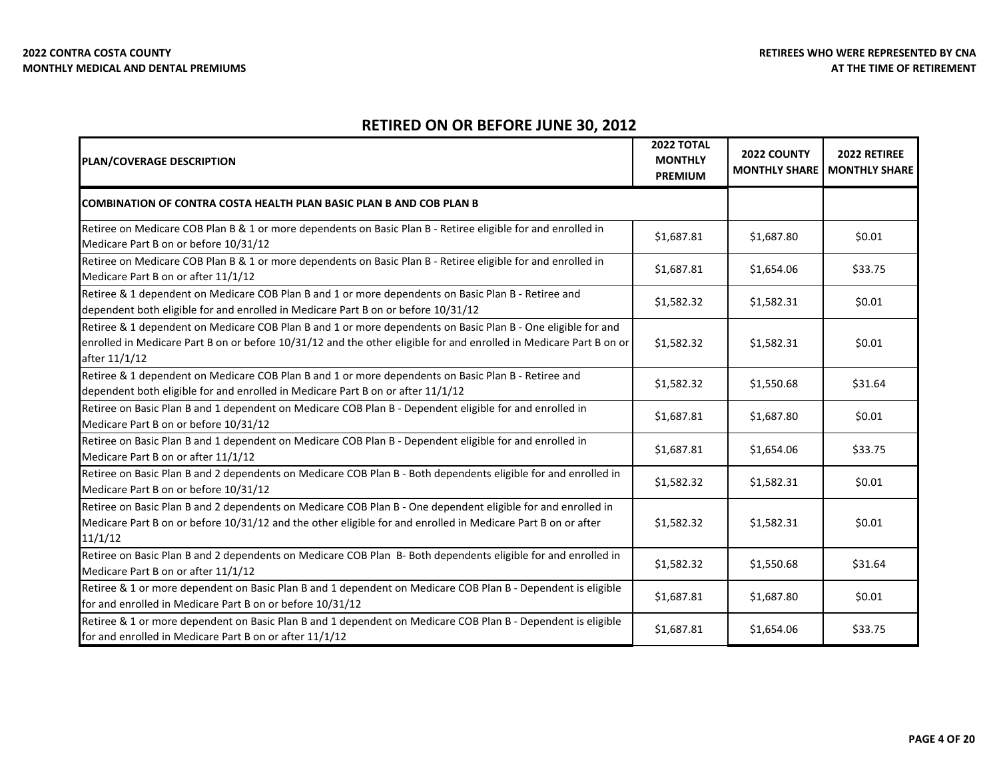| <b>PLAN/COVERAGE DESCRIPTION</b>                                                                                                                                                                                                                    | <b>2022 TOTAL</b><br><b>MONTHLY</b><br><b>PREMIUM</b> | 2022 COUNTY<br><b>MONTHLY SHARE</b> | 2022 RETIREE<br><b>MONTHLY SHARE</b> |
|-----------------------------------------------------------------------------------------------------------------------------------------------------------------------------------------------------------------------------------------------------|-------------------------------------------------------|-------------------------------------|--------------------------------------|
| <b>COMBINATION OF CONTRA COSTA HEALTH PLAN BASIC PLAN B AND COB PLAN B</b>                                                                                                                                                                          |                                                       |                                     |                                      |
| Retiree on Medicare COB Plan B & 1 or more dependents on Basic Plan B - Retiree eligible for and enrolled in<br>Medicare Part B on or before 10/31/12                                                                                               | \$1,687.81                                            | \$1,687.80                          | \$0.01                               |
| Retiree on Medicare COB Plan B & 1 or more dependents on Basic Plan B - Retiree eligible for and enrolled in<br>Medicare Part B on or after 11/1/12                                                                                                 | \$1,687.81                                            | \$1,654.06                          | \$33.75                              |
| Retiree & 1 dependent on Medicare COB Plan B and 1 or more dependents on Basic Plan B - Retiree and<br>dependent both eligible for and enrolled in Medicare Part B on or before 10/31/12                                                            | \$1,582.32                                            | \$1,582.31                          | \$0.01                               |
| Retiree & 1 dependent on Medicare COB Plan B and 1 or more dependents on Basic Plan B - One eligible for and<br>enrolled in Medicare Part B on or before 10/31/12 and the other eligible for and enrolled in Medicare Part B on or<br>after 11/1/12 | \$1,582.32                                            | \$1,582.31                          | \$0.01                               |
| Retiree & 1 dependent on Medicare COB Plan B and 1 or more dependents on Basic Plan B - Retiree and<br>dependent both eligible for and enrolled in Medicare Part B on or after 11/1/12                                                              | \$1,582.32                                            | \$1,550.68                          | \$31.64                              |
| Retiree on Basic Plan B and 1 dependent on Medicare COB Plan B - Dependent eligible for and enrolled in<br>Medicare Part B on or before 10/31/12                                                                                                    | \$1,687.81                                            | \$1,687.80                          | \$0.01                               |
| Retiree on Basic Plan B and 1 dependent on Medicare COB Plan B - Dependent eligible for and enrolled in<br>Medicare Part B on or after 11/1/12                                                                                                      | \$1,687.81                                            | \$1,654.06                          | \$33.75                              |
| Retiree on Basic Plan B and 2 dependents on Medicare COB Plan B - Both dependents eligible for and enrolled in<br>Medicare Part B on or before 10/31/12                                                                                             | \$1,582.32                                            | \$1,582.31                          | \$0.01                               |
| Retiree on Basic Plan B and 2 dependents on Medicare COB Plan B - One dependent eligible for and enrolled in<br>Medicare Part B on or before 10/31/12 and the other eligible for and enrolled in Medicare Part B on or after<br>11/1/12             | \$1,582.32                                            | \$1,582.31                          | \$0.01                               |
| Retiree on Basic Plan B and 2 dependents on Medicare COB Plan B- Both dependents eligible for and enrolled in<br>Medicare Part B on or after 11/1/12                                                                                                | \$1,582.32                                            | \$1,550.68                          | \$31.64                              |
| Retiree & 1 or more dependent on Basic Plan B and 1 dependent on Medicare COB Plan B - Dependent is eligible<br>for and enrolled in Medicare Part B on or before 10/31/12                                                                           | \$1,687.81                                            | \$1,687.80                          | \$0.01                               |
| Retiree & 1 or more dependent on Basic Plan B and 1 dependent on Medicare COB Plan B - Dependent is eligible<br>for and enrolled in Medicare Part B on or after 11/1/12                                                                             | \$1,687.81                                            | \$1,654.06                          | \$33.75                              |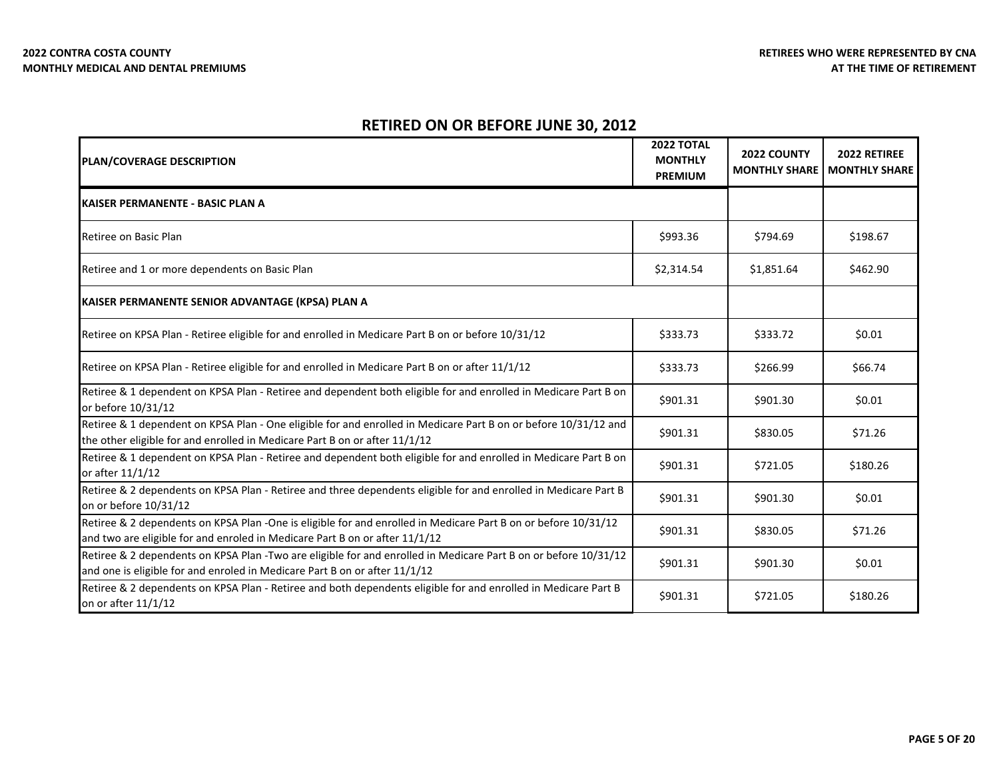| <b>PLAN/COVERAGE DESCRIPTION</b>                                                                                                                                                              | <b>2022 TOTAL</b><br><b>MONTHLY</b><br><b>PREMIUM</b> | 2022 COUNTY<br><b>MONTHLY SHARE</b> | 2022 RETIREE<br><b>MONTHLY SHARE</b> |
|-----------------------------------------------------------------------------------------------------------------------------------------------------------------------------------------------|-------------------------------------------------------|-------------------------------------|--------------------------------------|
| KAISER PERMANENTE - BASIC PLAN A                                                                                                                                                              |                                                       |                                     |                                      |
| Retiree on Basic Plan                                                                                                                                                                         | \$993.36                                              | \$794.69                            | \$198.67                             |
| Retiree and 1 or more dependents on Basic Plan                                                                                                                                                | \$2,314.54                                            | \$1,851.64                          | \$462.90                             |
| KAISER PERMANENTE SENIOR ADVANTAGE (KPSA) PLAN A                                                                                                                                              |                                                       |                                     |                                      |
| Retiree on KPSA Plan - Retiree eligible for and enrolled in Medicare Part B on or before 10/31/12                                                                                             | \$333.73                                              | \$333.72                            | \$0.01                               |
| Retiree on KPSA Plan - Retiree eligible for and enrolled in Medicare Part B on or after 11/1/12                                                                                               | \$333.73                                              | \$266.99                            | \$66.74                              |
| Retiree & 1 dependent on KPSA Plan - Retiree and dependent both eligible for and enrolled in Medicare Part B on<br>or before 10/31/12                                                         | \$901.31                                              | \$901.30                            | \$0.01                               |
| Retiree & 1 dependent on KPSA Plan - One eligible for and enrolled in Medicare Part B on or before 10/31/12 and<br>the other eligible for and enrolled in Medicare Part B on or after 11/1/12 | \$901.31                                              | \$830.05                            | \$71.26                              |
| Retiree & 1 dependent on KPSA Plan - Retiree and dependent both eligible for and enrolled in Medicare Part B on<br>or after 11/1/12                                                           | \$901.31                                              | \$721.05                            | \$180.26                             |
| Retiree & 2 dependents on KPSA Plan - Retiree and three dependents eligible for and enrolled in Medicare Part B<br>on or before 10/31/12                                                      | \$901.31                                              | \$901.30                            | \$0.01                               |
| Retiree & 2 dependents on KPSA Plan -One is eligible for and enrolled in Medicare Part B on or before 10/31/12<br>and two are eligible for and enroled in Medicare Part B on or after 11/1/12 | \$901.31                                              | \$830.05                            | \$71.26                              |
| Retiree & 2 dependents on KPSA Plan -Two are eligible for and enrolled in Medicare Part B on or before 10/31/12<br>and one is eligible for and enroled in Medicare Part B on or after 11/1/12 | \$901.31                                              | \$901.30                            | \$0.01                               |
| Retiree & 2 dependents on KPSA Plan - Retiree and both dependents eligible for and enrolled in Medicare Part B<br>on or after 11/1/12                                                         | \$901.31                                              | \$721.05                            | \$180.26                             |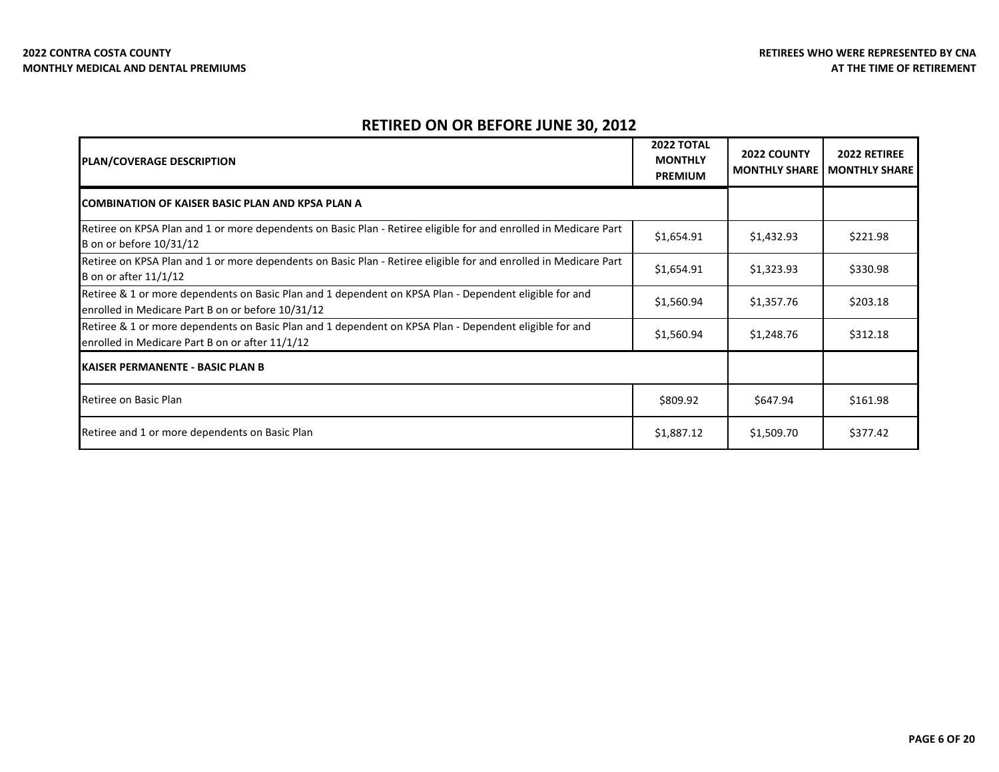| <b>PLAN/COVERAGE DESCRIPTION</b>                                                                                                                            | <b>2022 TOTAL</b><br><b>MONTHLY</b><br><b>PREMIUM</b> | 2022 COUNTY<br><b>MONTHLY SHARE</b> | 2022 RETIREE<br><b>MONTHLY SHARE</b> |
|-------------------------------------------------------------------------------------------------------------------------------------------------------------|-------------------------------------------------------|-------------------------------------|--------------------------------------|
| <b>COMBINATION OF KAISER BASIC PLAN AND KPSA PLAN A</b>                                                                                                     |                                                       |                                     |                                      |
| Retiree on KPSA Plan and 1 or more dependents on Basic Plan - Retiree eligible for and enrolled in Medicare Part<br>B on or before 10/31/12                 | \$1,654.91                                            | \$1,432.93                          | \$221.98                             |
| Retiree on KPSA Plan and 1 or more dependents on Basic Plan - Retiree eligible for and enrolled in Medicare Part<br>B on or after 11/1/12                   | \$1,654.91                                            | \$1,323.93                          | \$330.98                             |
| Retiree & 1 or more dependents on Basic Plan and 1 dependent on KPSA Plan - Dependent eligible for and<br>enrolled in Medicare Part B on or before 10/31/12 | \$1,560.94                                            | \$1,357.76                          | \$203.18                             |
| Retiree & 1 or more dependents on Basic Plan and 1 dependent on KPSA Plan - Dependent eligible for and<br>enrolled in Medicare Part B on or after 11/1/12   | \$1,560.94                                            | \$1,248.76                          | \$312.18                             |
| <b>KAISER PERMANENTE - BASIC PLAN B</b>                                                                                                                     |                                                       |                                     |                                      |
| Retiree on Basic Plan                                                                                                                                       | \$809.92                                              | \$647.94                            | \$161.98                             |
| Retiree and 1 or more dependents on Basic Plan                                                                                                              | \$1,887.12                                            | \$1,509.70                          | \$377.42                             |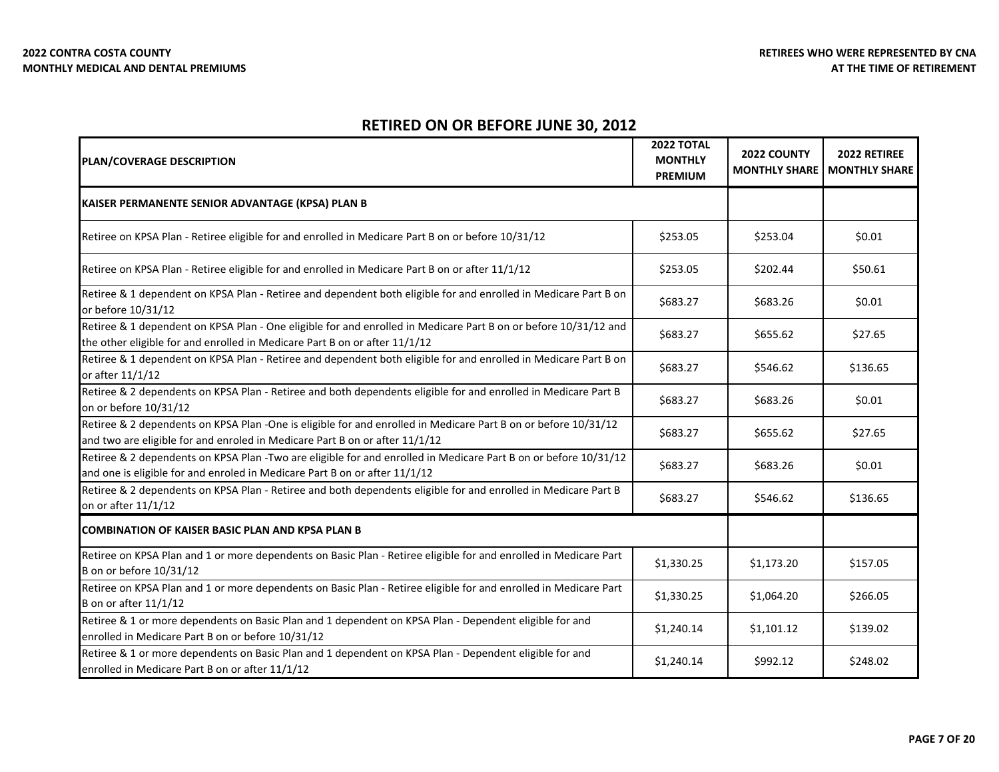| <b>PLAN/COVERAGE DESCRIPTION</b>                                                                                                                                                              | <b>2022 TOTAL</b><br><b>MONTHLY</b><br><b>PREMIUM</b> | 2022 COUNTY<br><b>MONTHLY SHARE</b> | 2022 RETIREE<br><b>MONTHLY SHARE</b> |
|-----------------------------------------------------------------------------------------------------------------------------------------------------------------------------------------------|-------------------------------------------------------|-------------------------------------|--------------------------------------|
| KAISER PERMANENTE SENIOR ADVANTAGE (KPSA) PLAN B                                                                                                                                              |                                                       |                                     |                                      |
| Retiree on KPSA Plan - Retiree eligible for and enrolled in Medicare Part B on or before 10/31/12                                                                                             | \$253.05                                              | \$253.04                            | \$0.01                               |
| Retiree on KPSA Plan - Retiree eligible for and enrolled in Medicare Part B on or after 11/1/12                                                                                               | \$253.05                                              | \$202.44                            | \$50.61                              |
| Retiree & 1 dependent on KPSA Plan - Retiree and dependent both eligible for and enrolled in Medicare Part B on<br>or before 10/31/12                                                         | \$683.27                                              | \$683.26                            | \$0.01                               |
| Retiree & 1 dependent on KPSA Plan - One eligible for and enrolled in Medicare Part B on or before 10/31/12 and<br>the other eligible for and enrolled in Medicare Part B on or after 11/1/12 | \$683.27                                              | \$655.62                            | \$27.65                              |
| Retiree & 1 dependent on KPSA Plan - Retiree and dependent both eligible for and enrolled in Medicare Part B on<br>or after 11/1/12                                                           | \$683.27                                              | \$546.62                            | \$136.65                             |
| Retiree & 2 dependents on KPSA Plan - Retiree and both dependents eligible for and enrolled in Medicare Part B<br>on or before 10/31/12                                                       | \$683.27                                              | \$683.26                            | \$0.01                               |
| Retiree & 2 dependents on KPSA Plan -One is eligible for and enrolled in Medicare Part B on or before 10/31/12<br>and two are eligible for and enroled in Medicare Part B on or after 11/1/12 | \$683.27                                              | \$655.62                            | \$27.65                              |
| Retiree & 2 dependents on KPSA Plan -Two are eligible for and enrolled in Medicare Part B on or before 10/31/12<br>and one is eligible for and enroled in Medicare Part B on or after 11/1/12 | \$683.27                                              | \$683.26                            | \$0.01                               |
| Retiree & 2 dependents on KPSA Plan - Retiree and both dependents eligible for and enrolled in Medicare Part B<br>on or after 11/1/12                                                         | \$683.27                                              | \$546.62                            | \$136.65                             |
| <b>COMBINATION OF KAISER BASIC PLAN AND KPSA PLAN B</b>                                                                                                                                       |                                                       |                                     |                                      |
| Retiree on KPSA Plan and 1 or more dependents on Basic Plan - Retiree eligible for and enrolled in Medicare Part<br>B on or before 10/31/12                                                   | \$1,330.25                                            | \$1,173.20                          | \$157.05                             |
| Retiree on KPSA Plan and 1 or more dependents on Basic Plan - Retiree eligible for and enrolled in Medicare Part<br><b>B</b> on or after 11/1/12                                              | \$1,330.25                                            | \$1,064.20                          | \$266.05                             |
| Retiree & 1 or more dependents on Basic Plan and 1 dependent on KPSA Plan - Dependent eligible for and<br>enrolled in Medicare Part B on or before 10/31/12                                   | \$1,240.14                                            | \$1,101.12                          | \$139.02                             |
| Retiree & 1 or more dependents on Basic Plan and 1 dependent on KPSA Plan - Dependent eligible for and<br>enrolled in Medicare Part B on or after 11/1/12                                     | \$1,240.14                                            | \$992.12                            | \$248.02                             |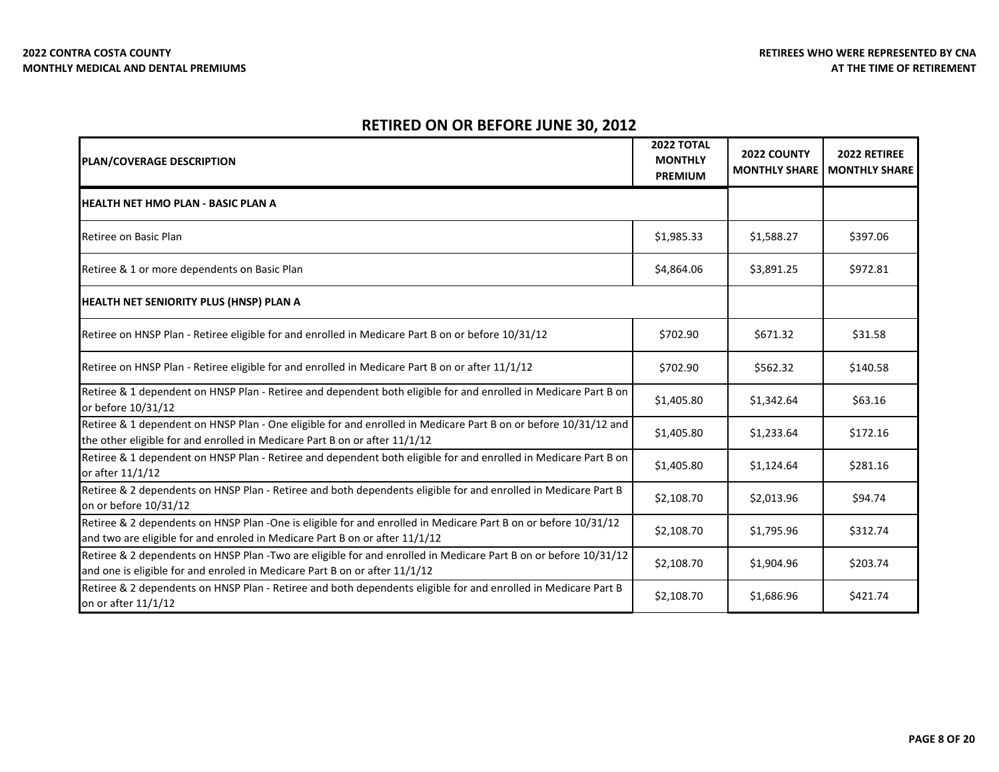| <b>PLAN/COVERAGE DESCRIPTION</b>                                                                                                                                                              | 2022 TOTAL<br><b>MONTHLY</b><br><b>PREMIUM</b> | 2022 COUNTY<br><b>MONTHLY SHARE</b> | 2022 RETIREE<br><b>MONTHLY SHARE</b> |
|-----------------------------------------------------------------------------------------------------------------------------------------------------------------------------------------------|------------------------------------------------|-------------------------------------|--------------------------------------|
| IHEALTH NET HMO PLAN - BASIC PLAN A                                                                                                                                                           |                                                |                                     |                                      |
| Retiree on Basic Plan                                                                                                                                                                         | \$1,985.33                                     | \$1,588.27                          | \$397.06                             |
| Retiree & 1 or more dependents on Basic Plan                                                                                                                                                  | \$4,864.06                                     | \$3,891.25                          | \$972.81                             |
| <b>HEALTH NET SENIORITY PLUS (HNSP) PLAN A</b>                                                                                                                                                |                                                |                                     |                                      |
| Retiree on HNSP Plan - Retiree eligible for and enrolled in Medicare Part B on or before 10/31/12                                                                                             | \$702.90                                       | \$671.32                            | \$31.58                              |
| Retiree on HNSP Plan - Retiree eligible for and enrolled in Medicare Part B on or after 11/1/12                                                                                               | \$702.90                                       | \$562.32                            | \$140.58                             |
| Retiree & 1 dependent on HNSP Plan - Retiree and dependent both eligible for and enrolled in Medicare Part B on<br>or before 10/31/12                                                         | \$1,405.80                                     | \$1,342.64                          | \$63.16                              |
| Retiree & 1 dependent on HNSP Plan - One eligible for and enrolled in Medicare Part B on or before 10/31/12 and<br>the other eligible for and enrolled in Medicare Part B on or after 11/1/12 | \$1,405.80                                     | \$1,233.64                          | \$172.16                             |
| Retiree & 1 dependent on HNSP Plan - Retiree and dependent both eligible for and enrolled in Medicare Part B on<br>or after 11/1/12                                                           | \$1,405.80                                     | \$1,124.64                          | \$281.16                             |
| Retiree & 2 dependents on HNSP Plan - Retiree and both dependents eligible for and enrolled in Medicare Part B<br>on or before 10/31/12                                                       | \$2,108.70                                     | \$2,013.96                          | \$94.74                              |
| Retiree & 2 dependents on HNSP Plan -One is eligible for and enrolled in Medicare Part B on or before 10/31/12<br>and two are eligible for and enroled in Medicare Part B on or after 11/1/12 | \$2,108.70                                     | \$1,795.96                          | \$312.74                             |
| Retiree & 2 dependents on HNSP Plan -Two are eligible for and enrolled in Medicare Part B on or before 10/31/12<br>and one is eligible for and enroled in Medicare Part B on or after 11/1/12 | \$2,108.70                                     | \$1,904.96                          | \$203.74                             |
| Retiree & 2 dependents on HNSP Plan - Retiree and both dependents eligible for and enrolled in Medicare Part B<br>on or after 11/1/12                                                         | \$2,108.70                                     | \$1,686.96                          | \$421.74                             |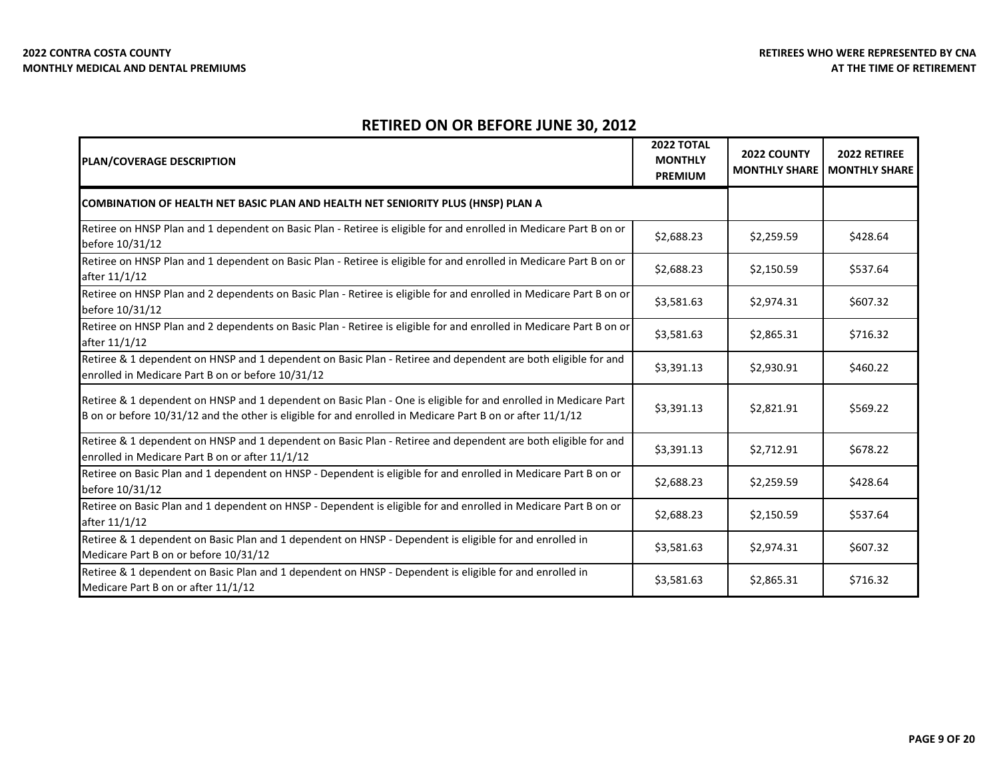| <b>PLAN/COVERAGE DESCRIPTION</b>                                                                                                                                                                                             | <b>2022 TOTAL</b><br><b>MONTHLY</b><br><b>PREMIUM</b> | 2022 COUNTY<br><b>MONTHLY SHARE</b> | 2022 RETIREE<br><b>MONTHLY SHARE</b> |
|------------------------------------------------------------------------------------------------------------------------------------------------------------------------------------------------------------------------------|-------------------------------------------------------|-------------------------------------|--------------------------------------|
| COMBINATION OF HEALTH NET BASIC PLAN AND HEALTH NET SENIORITY PLUS (HNSP) PLAN A                                                                                                                                             |                                                       |                                     |                                      |
| Retiree on HNSP Plan and 1 dependent on Basic Plan - Retiree is eligible for and enrolled in Medicare Part B on or<br>before 10/31/12                                                                                        | \$2,688.23                                            | \$2,259.59                          | \$428.64                             |
| Retiree on HNSP Plan and 1 dependent on Basic Plan - Retiree is eligible for and enrolled in Medicare Part B on or<br>after 11/1/12                                                                                          | \$2,688.23                                            | \$2,150.59                          | \$537.64                             |
| Retiree on HNSP Plan and 2 dependents on Basic Plan - Retiree is eligible for and enrolled in Medicare Part B on or<br>before 10/31/12                                                                                       | \$3,581.63                                            | \$2,974.31                          | \$607.32                             |
| Retiree on HNSP Plan and 2 dependents on Basic Plan - Retiree is eligible for and enrolled in Medicare Part B on or<br>after 11/1/12                                                                                         | \$3,581.63                                            | \$2,865.31                          | \$716.32                             |
| Retiree & 1 dependent on HNSP and 1 dependent on Basic Plan - Retiree and dependent are both eligible for and<br>enrolled in Medicare Part B on or before 10/31/12                                                           | \$3,391.13                                            | \$2,930.91                          | \$460.22                             |
| Retiree & 1 dependent on HNSP and 1 dependent on Basic Plan - One is eligible for and enrolled in Medicare Part<br>B on or before 10/31/12 and the other is eligible for and enrolled in Medicare Part B on or after 11/1/12 | \$3,391.13                                            | \$2,821.91                          | \$569.22                             |
| Retiree & 1 dependent on HNSP and 1 dependent on Basic Plan - Retiree and dependent are both eligible for and<br>enrolled in Medicare Part B on or after 11/1/12                                                             | \$3,391.13                                            | \$2,712.91                          | \$678.22                             |
| Retiree on Basic Plan and 1 dependent on HNSP - Dependent is eligible for and enrolled in Medicare Part B on or<br>before 10/31/12                                                                                           | \$2,688.23                                            | \$2,259.59                          | \$428.64                             |
| Retiree on Basic Plan and 1 dependent on HNSP - Dependent is eligible for and enrolled in Medicare Part B on or<br>after 11/1/12                                                                                             | \$2,688.23                                            | \$2,150.59                          | \$537.64                             |
| Retiree & 1 dependent on Basic Plan and 1 dependent on HNSP - Dependent is eligible for and enrolled in<br>Medicare Part B on or before 10/31/12                                                                             | \$3,581.63                                            | \$2,974.31                          | \$607.32                             |
| Retiree & 1 dependent on Basic Plan and 1 dependent on HNSP - Dependent is eligible for and enrolled in<br>Medicare Part B on or after 11/1/12                                                                               | \$3,581.63                                            | \$2,865.31                          | \$716.32                             |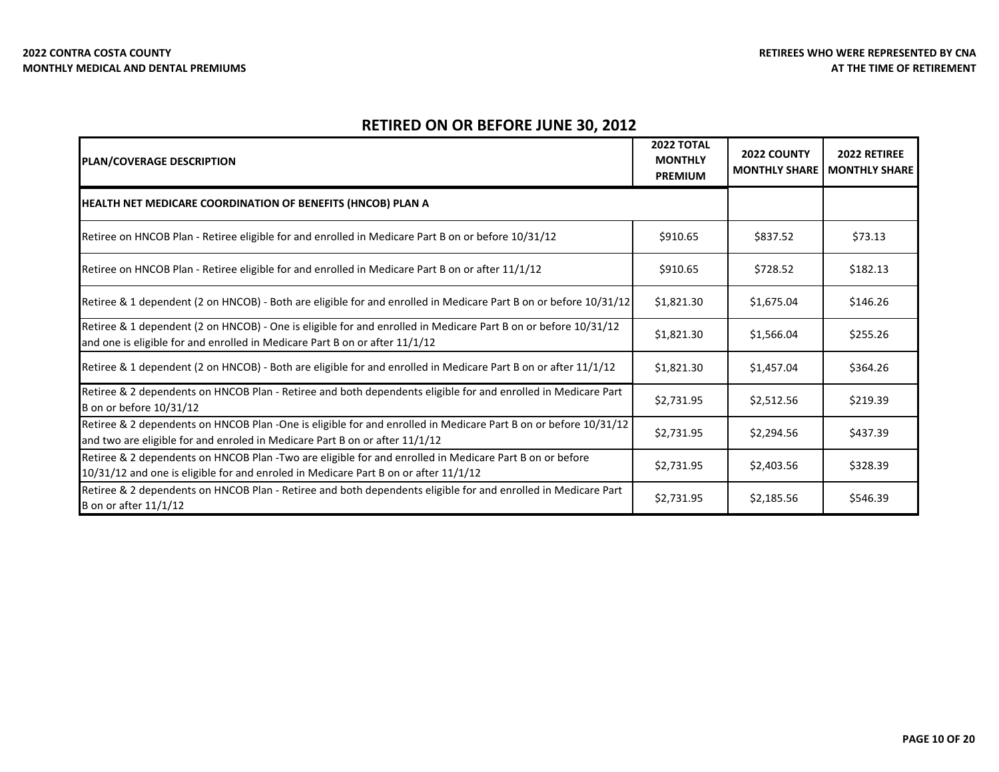| <b>PLAN/COVERAGE DESCRIPTION</b>                                                                                                                                                               | <b>2022 TOTAL</b><br><b>MONTHLY</b><br><b>PREMIUM</b> | 2022 COUNTY<br><b>MONTHLY SHARE</b> | 2022 RETIREE<br><b>MONTHLY SHARE</b> |
|------------------------------------------------------------------------------------------------------------------------------------------------------------------------------------------------|-------------------------------------------------------|-------------------------------------|--------------------------------------|
| <b>HEALTH NET MEDICARE COORDINATION OF BENEFITS (HNCOB) PLAN A</b>                                                                                                                             |                                                       |                                     |                                      |
| Retiree on HNCOB Plan - Retiree eligible for and enrolled in Medicare Part B on or before 10/31/12                                                                                             | \$910.65                                              | \$837.52                            | \$73.13                              |
| Retiree on HNCOB Plan - Retiree eligible for and enrolled in Medicare Part B on or after 11/1/12                                                                                               | \$910.65                                              | \$728.52                            | \$182.13                             |
| Retiree & 1 dependent (2 on HNCOB) - Both are eligible for and enrolled in Medicare Part B on or before 10/31/12                                                                               | \$1,821.30                                            | \$1,675.04                          | \$146.26                             |
| Retiree & 1 dependent (2 on HNCOB) - One is eligible for and enrolled in Medicare Part B on or before 10/31/12<br>and one is eligible for and enrolled in Medicare Part B on or after 11/1/12  | \$1,821.30                                            | \$1,566.04                          | \$255.26                             |
| Retiree & 1 dependent (2 on HNCOB) - Both are eligible for and enrolled in Medicare Part B on or after 11/1/12                                                                                 | \$1,821.30                                            | \$1,457.04                          | \$364.26                             |
| Retiree & 2 dependents on HNCOB Plan - Retiree and both dependents eligible for and enrolled in Medicare Part<br>B on or before 10/31/12                                                       | \$2,731.95                                            | \$2,512.56                          | \$219.39                             |
| Retiree & 2 dependents on HNCOB Plan -One is eligible for and enrolled in Medicare Part B on or before 10/31/12<br>and two are eligible for and enroled in Medicare Part B on or after 11/1/12 | \$2,731.95                                            | \$2,294.56                          | \$437.39                             |
| Retiree & 2 dependents on HNCOB Plan -Two are eligible for and enrolled in Medicare Part B on or before<br>10/31/12 and one is eligible for and enroled in Medicare Part B on or after 11/1/12 | \$2,731.95                                            | \$2,403.56                          | \$328.39                             |
| Retiree & 2 dependents on HNCOB Plan - Retiree and both dependents eligible for and enrolled in Medicare Part<br><b>B</b> on or after 11/1/12                                                  | \$2,731.95                                            | \$2,185.56                          | \$546.39                             |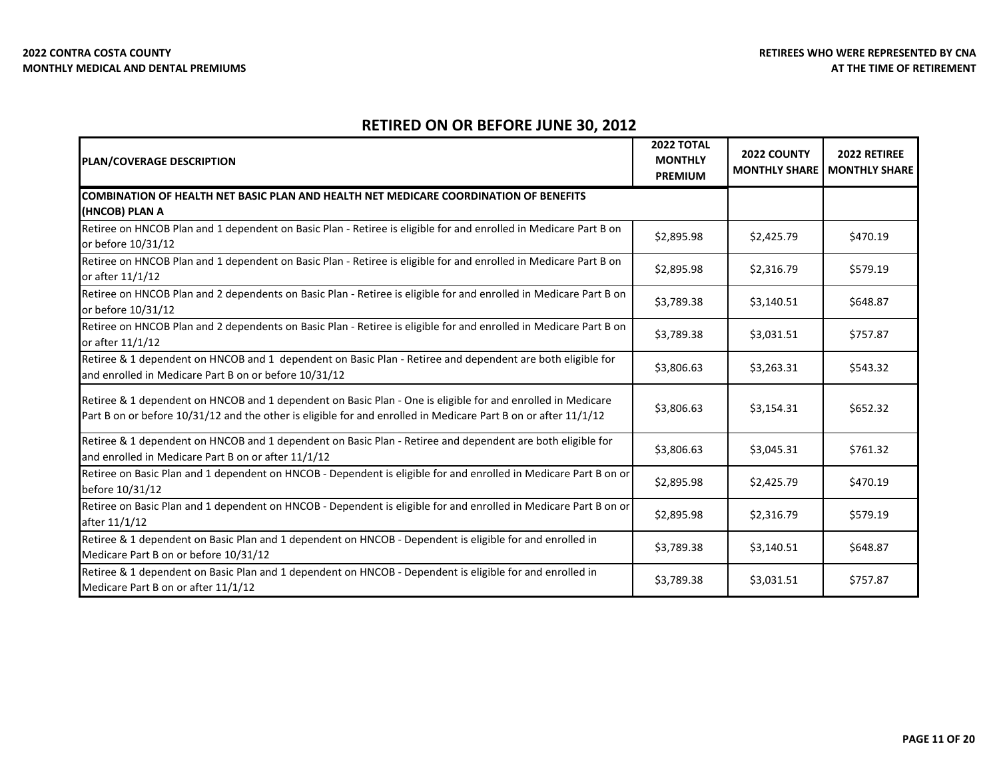| <b>PLAN/COVERAGE DESCRIPTION</b>                                                                                                                                                                                              | <b>2022 TOTAL</b><br><b>MONTHLY</b><br><b>PREMIUM</b> | 2022 COUNTY<br><b>MONTHLY SHARE</b> | 2022 RETIREE<br><b>MONTHLY SHARE</b> |
|-------------------------------------------------------------------------------------------------------------------------------------------------------------------------------------------------------------------------------|-------------------------------------------------------|-------------------------------------|--------------------------------------|
| COMBINATION OF HEALTH NET BASIC PLAN AND HEALTH NET MEDICARE COORDINATION OF BENEFITS<br>(HNCOB) PLAN A                                                                                                                       |                                                       |                                     |                                      |
| Retiree on HNCOB Plan and 1 dependent on Basic Plan - Retiree is eligible for and enrolled in Medicare Part B on<br>or before 10/31/12                                                                                        | \$2.895.98                                            | \$2,425.79                          | \$470.19                             |
| Retiree on HNCOB Plan and 1 dependent on Basic Plan - Retiree is eligible for and enrolled in Medicare Part B on<br>or after 11/1/12                                                                                          | \$2,895.98                                            | \$2,316.79                          | \$579.19                             |
| Retiree on HNCOB Plan and 2 dependents on Basic Plan - Retiree is eligible for and enrolled in Medicare Part B on<br>or before 10/31/12                                                                                       | \$3,789.38                                            | \$3,140.51                          | \$648.87                             |
| Retiree on HNCOB Plan and 2 dependents on Basic Plan - Retiree is eligible for and enrolled in Medicare Part B on<br>or after 11/1/12                                                                                         | \$3,789.38                                            | \$3,031.51                          | \$757.87                             |
| Retiree & 1 dependent on HNCOB and 1 dependent on Basic Plan - Retiree and dependent are both eligible for<br>and enrolled in Medicare Part B on or before 10/31/12                                                           | \$3,806.63                                            | \$3,263.31                          | \$543.32                             |
| Retiree & 1 dependent on HNCOB and 1 dependent on Basic Plan - One is eligible for and enrolled in Medicare<br>Part B on or before 10/31/12 and the other is eligible for and enrolled in Medicare Part B on or after 11/1/12 | \$3,806.63                                            | \$3,154.31                          | \$652.32                             |
| Retiree & 1 dependent on HNCOB and 1 dependent on Basic Plan - Retiree and dependent are both eligible for<br>and enrolled in Medicare Part B on or after 11/1/12                                                             | \$3,806.63                                            | \$3,045.31                          | \$761.32                             |
| Retiree on Basic Plan and 1 dependent on HNCOB - Dependent is eligible for and enrolled in Medicare Part B on or<br>before 10/31/12                                                                                           | \$2,895.98                                            | \$2,425.79                          | \$470.19                             |
| Retiree on Basic Plan and 1 dependent on HNCOB - Dependent is eligible for and enrolled in Medicare Part B on or<br>after 11/1/12                                                                                             | \$2,895.98                                            | \$2,316.79                          | \$579.19                             |
| Retiree & 1 dependent on Basic Plan and 1 dependent on HNCOB - Dependent is eligible for and enrolled in<br>Medicare Part B on or before 10/31/12                                                                             | \$3,789.38                                            | \$3,140.51                          | \$648.87                             |
| Retiree & 1 dependent on Basic Plan and 1 dependent on HNCOB - Dependent is eligible for and enrolled in<br>Medicare Part B on or after 11/1/12                                                                               | \$3,789.38                                            | \$3,031.51                          | \$757.87                             |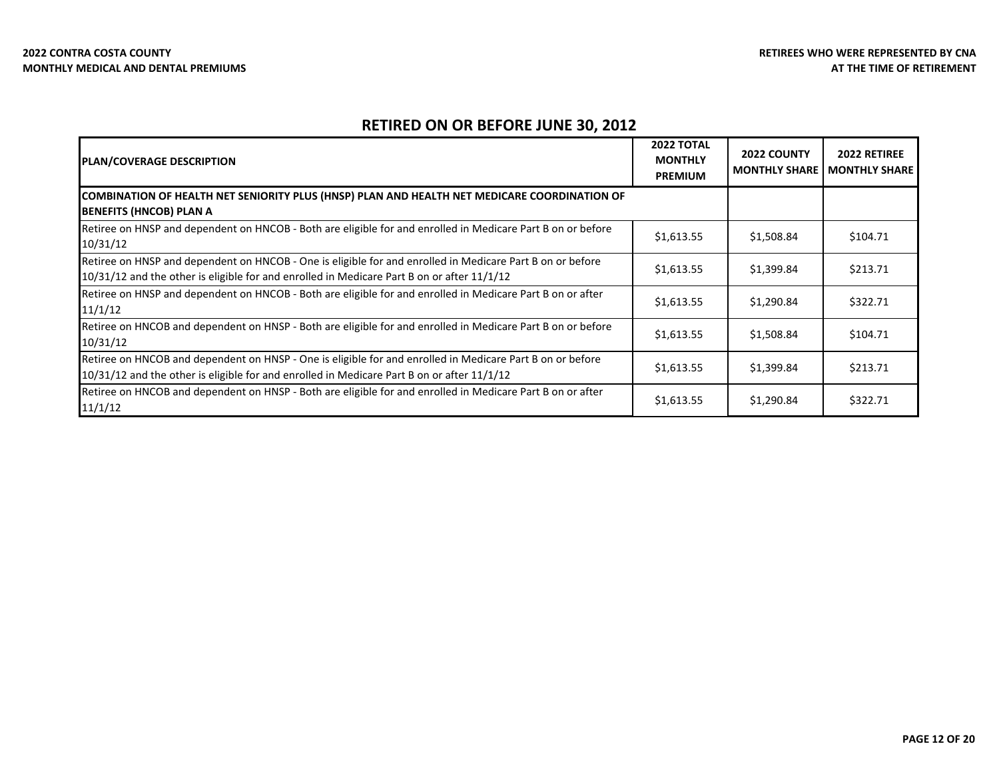| PLAN/COVERAGE DESCRIPTION                                                                                                                                                                               | 2022 TOTAL<br><b>MONTHLY</b><br><b>PREMIUM</b> | <b>2022 COUNTY</b><br><b>MONTHLY SHARE</b> | <b>2022 RETIREE</b><br><b>MONTHLY SHARE</b> |
|---------------------------------------------------------------------------------------------------------------------------------------------------------------------------------------------------------|------------------------------------------------|--------------------------------------------|---------------------------------------------|
| COMBINATION OF HEALTH NET SENIORITY PLUS (HNSP) PLAN AND HEALTH NET MEDICARE COORDINATION OF<br><b>BENEFITS (HNCOB) PLAN A</b>                                                                          |                                                |                                            |                                             |
| Retiree on HNSP and dependent on HNCOB - Both are eligible for and enrolled in Medicare Part B on or before<br>10/31/12                                                                                 | \$1,613.55                                     | \$1,508.84                                 | \$104.71                                    |
| Retiree on HNSP and dependent on HNCOB - One is eligible for and enrolled in Medicare Part B on or before<br>10/31/12 and the other is eligible for and enrolled in Medicare Part B on or after 11/1/12 | \$1,613.55                                     | \$1,399.84                                 | \$213.71                                    |
| Retiree on HNSP and dependent on HNCOB - Both are eligible for and enrolled in Medicare Part B on or after<br>11/1/12                                                                                   | \$1,613.55                                     | \$1,290.84                                 | \$322.71                                    |
| Retiree on HNCOB and dependent on HNSP - Both are eligible for and enrolled in Medicare Part B on or before<br>10/31/12                                                                                 | \$1,613.55                                     | \$1,508.84                                 | \$104.71                                    |
| Retiree on HNCOB and dependent on HNSP - One is eligible for and enrolled in Medicare Part B on or before<br>10/31/12 and the other is eligible for and enrolled in Medicare Part B on or after 11/1/12 | \$1,613.55                                     | \$1,399.84                                 | \$213.71                                    |
| Retiree on HNCOB and dependent on HNSP - Both are eligible for and enrolled in Medicare Part B on or after<br>11/1/12                                                                                   | \$1,613.55                                     | \$1,290.84                                 | \$322.71                                    |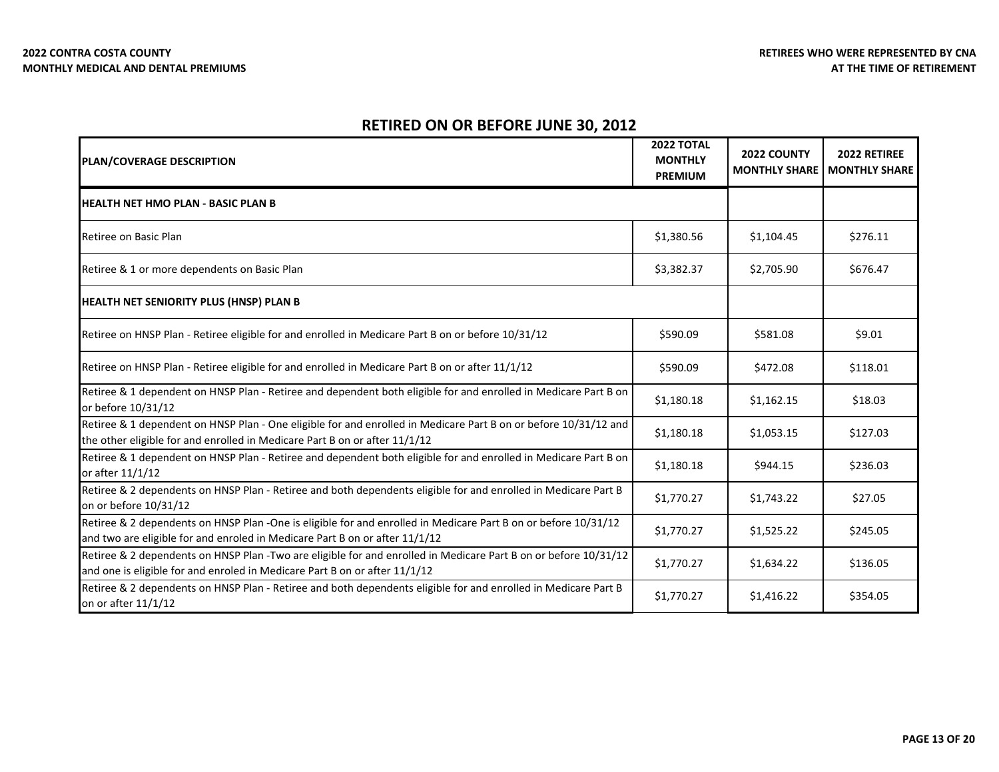| <b>PLAN/COVERAGE DESCRIPTION</b>                                                                                                                                                              | <b>2022 TOTAL</b><br><b>MONTHLY</b><br><b>PREMIUM</b> | 2022 COUNTY<br><b>MONTHLY SHARE</b> | 2022 RETIREE<br><b>MONTHLY SHARE</b> |
|-----------------------------------------------------------------------------------------------------------------------------------------------------------------------------------------------|-------------------------------------------------------|-------------------------------------|--------------------------------------|
| IHEALTH NET HMO PLAN - BASIC PLAN B                                                                                                                                                           |                                                       |                                     |                                      |
| Retiree on Basic Plan                                                                                                                                                                         | \$1,380.56                                            | \$1,104.45                          | \$276.11                             |
| Retiree & 1 or more dependents on Basic Plan                                                                                                                                                  | \$3,382.37                                            | \$2,705.90                          | \$676.47                             |
| <b>HEALTH NET SENIORITY PLUS (HNSP) PLAN B</b>                                                                                                                                                |                                                       |                                     |                                      |
| Retiree on HNSP Plan - Retiree eligible for and enrolled in Medicare Part B on or before 10/31/12                                                                                             | \$590.09                                              | \$581.08                            | \$9.01                               |
| Retiree on HNSP Plan - Retiree eligible for and enrolled in Medicare Part B on or after 11/1/12                                                                                               | \$590.09                                              | \$472.08                            | \$118.01                             |
| Retiree & 1 dependent on HNSP Plan - Retiree and dependent both eligible for and enrolled in Medicare Part B on<br>or before 10/31/12                                                         | \$1,180.18                                            | \$1,162.15                          | \$18.03                              |
| Retiree & 1 dependent on HNSP Plan - One eligible for and enrolled in Medicare Part B on or before 10/31/12 and<br>the other eligible for and enrolled in Medicare Part B on or after 11/1/12 | \$1,180.18                                            | \$1,053.15                          | \$127.03                             |
| Retiree & 1 dependent on HNSP Plan - Retiree and dependent both eligible for and enrolled in Medicare Part B on<br>or after 11/1/12                                                           | \$1,180.18                                            | \$944.15                            | \$236.03                             |
| Retiree & 2 dependents on HNSP Plan - Retiree and both dependents eligible for and enrolled in Medicare Part B<br>on or before 10/31/12                                                       | \$1,770.27                                            | \$1,743.22                          | \$27.05                              |
| Retiree & 2 dependents on HNSP Plan -One is eligible for and enrolled in Medicare Part B on or before 10/31/12<br>and two are eligible for and enroled in Medicare Part B on or after 11/1/12 | \$1,770.27                                            | \$1,525.22                          | \$245.05                             |
| Retiree & 2 dependents on HNSP Plan -Two are eligible for and enrolled in Medicare Part B on or before 10/31/12<br>and one is eligible for and enroled in Medicare Part B on or after 11/1/12 | \$1,770.27                                            | \$1,634.22                          | \$136.05                             |
| Retiree & 2 dependents on HNSP Plan - Retiree and both dependents eligible for and enrolled in Medicare Part B<br>on or after 11/1/12                                                         | \$1,770.27                                            | \$1,416.22                          | \$354.05                             |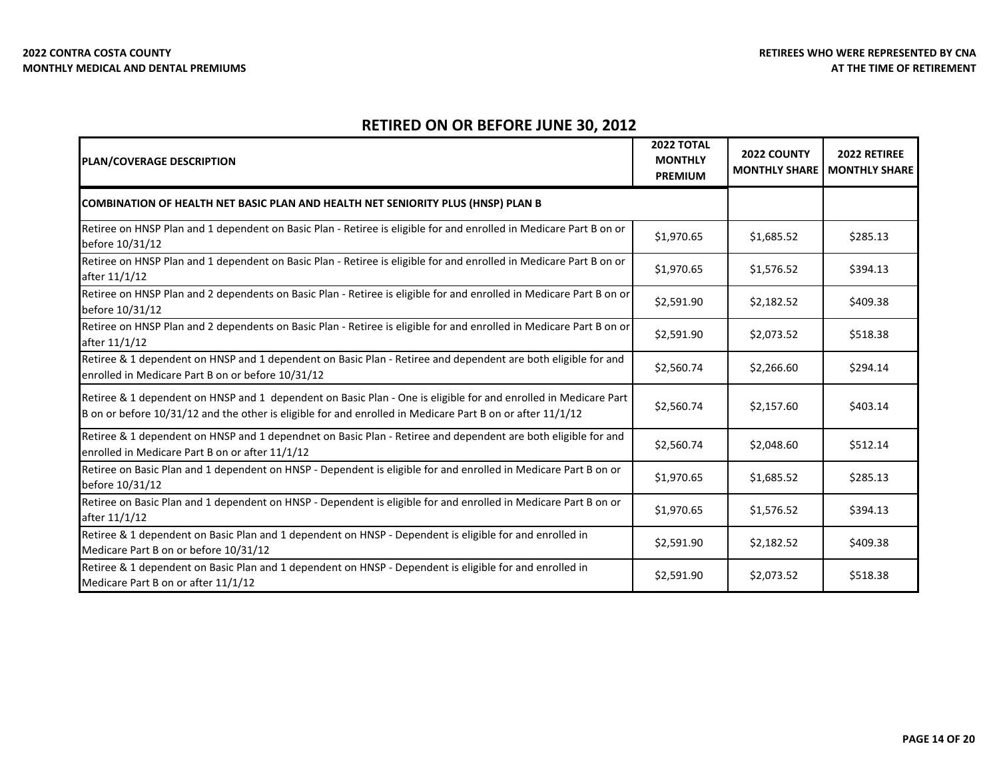| PLAN/COVERAGE DESCRIPTION                                                                                                                                                                                                    | <b>2022 TOTAL</b><br><b>MONTHLY</b><br><b>PREMIUM</b> | 2022 COUNTY<br><b>MONTHLY SHARE</b> | 2022 RETIREE<br><b>MONTHLY SHARE</b> |
|------------------------------------------------------------------------------------------------------------------------------------------------------------------------------------------------------------------------------|-------------------------------------------------------|-------------------------------------|--------------------------------------|
| <b>COMBINATION OF HEALTH NET BASIC PLAN AND HEALTH NET SENIORITY PLUS (HNSP) PLAN B</b>                                                                                                                                      |                                                       |                                     |                                      |
| Retiree on HNSP Plan and 1 dependent on Basic Plan - Retiree is eligible for and enrolled in Medicare Part B on or<br>before 10/31/12                                                                                        | \$1,970.65                                            | \$1,685.52                          | \$285.13                             |
| Retiree on HNSP Plan and 1 dependent on Basic Plan - Retiree is eligible for and enrolled in Medicare Part B on or<br>after 11/1/12                                                                                          | \$1,970.65                                            | \$1,576.52                          | \$394.13                             |
| Retiree on HNSP Plan and 2 dependents on Basic Plan - Retiree is eligible for and enrolled in Medicare Part B on or<br>before 10/31/12                                                                                       | \$2,591.90                                            | \$2,182.52                          | \$409.38                             |
| Retiree on HNSP Plan and 2 dependents on Basic Plan - Retiree is eligible for and enrolled in Medicare Part B on or<br>after 11/1/12                                                                                         | \$2,591.90                                            | \$2,073.52                          | \$518.38                             |
| Retiree & 1 dependent on HNSP and 1 dependent on Basic Plan - Retiree and dependent are both eligible for and<br>enrolled in Medicare Part B on or before 10/31/12                                                           | \$2,560.74                                            | \$2,266.60                          | \$294.14                             |
| Retiree & 1 dependent on HNSP and 1 dependent on Basic Plan - One is eligible for and enrolled in Medicare Part<br>B on or before 10/31/12 and the other is eligible for and enrolled in Medicare Part B on or after 11/1/12 | \$2,560.74                                            | \$2,157.60                          | \$403.14                             |
| Retiree & 1 dependent on HNSP and 1 dependnet on Basic Plan - Retiree and dependent are both eligible for and<br>enrolled in Medicare Part B on or after 11/1/12                                                             | \$2,560.74                                            | \$2,048.60                          | \$512.14                             |
| Retiree on Basic Plan and 1 dependent on HNSP - Dependent is eligible for and enrolled in Medicare Part B on or<br>before 10/31/12                                                                                           | \$1,970.65                                            | \$1,685.52                          | \$285.13                             |
| Retiree on Basic Plan and 1 dependent on HNSP - Dependent is eligible for and enrolled in Medicare Part B on or<br>after 11/1/12                                                                                             | \$1,970.65                                            | \$1,576.52                          | \$394.13                             |
| Retiree & 1 dependent on Basic Plan and 1 dependent on HNSP - Dependent is eligible for and enrolled in<br>Medicare Part B on or before 10/31/12                                                                             | \$2,591.90                                            | \$2,182.52                          | \$409.38                             |
| Retiree & 1 dependent on Basic Plan and 1 dependent on HNSP - Dependent is eligible for and enrolled in<br>Medicare Part B on or after 11/1/12                                                                               | \$2,591.90                                            | \$2,073.52                          | \$518.38                             |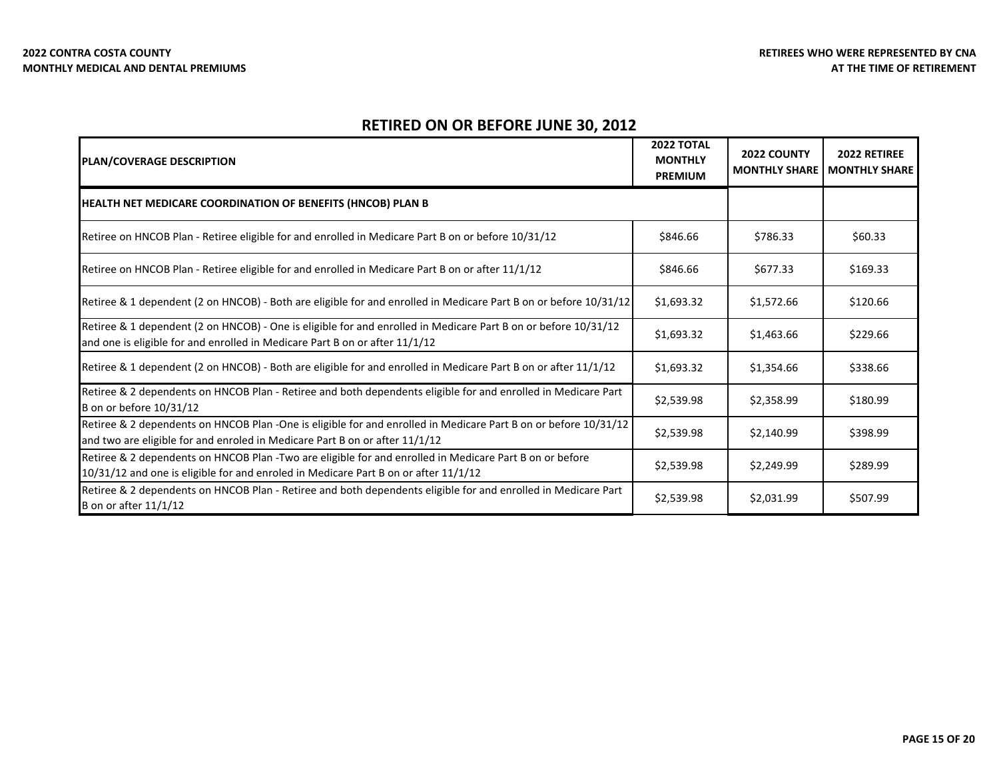| <b>PLAN/COVERAGE DESCRIPTION</b>                                                                                                                                                               | <b>2022 TOTAL</b><br><b>MONTHLY</b><br><b>PREMIUM</b> | <b>2022 COUNTY</b><br><b>MONTHLY SHARE</b> | 2022 RETIREE<br><b>MONTHLY SHARE</b> |
|------------------------------------------------------------------------------------------------------------------------------------------------------------------------------------------------|-------------------------------------------------------|--------------------------------------------|--------------------------------------|
| <b>HEALTH NET MEDICARE COORDINATION OF BENEFITS (HNCOB) PLAN B</b>                                                                                                                             |                                                       |                                            |                                      |
| Retiree on HNCOB Plan - Retiree eligible for and enrolled in Medicare Part B on or before 10/31/12                                                                                             | \$846.66                                              | \$786.33                                   | \$60.33                              |
| Retiree on HNCOB Plan - Retiree eligible for and enrolled in Medicare Part B on or after 11/1/12                                                                                               | \$846.66                                              | \$677.33                                   | \$169.33                             |
| Retiree & 1 dependent (2 on HNCOB) - Both are eligible for and enrolled in Medicare Part B on or before 10/31/12                                                                               | \$1,693.32                                            | \$1,572.66                                 | \$120.66                             |
| Retiree & 1 dependent (2 on HNCOB) - One is eligible for and enrolled in Medicare Part B on or before 10/31/12<br>and one is eligible for and enrolled in Medicare Part B on or after 11/1/12  | \$1,693.32                                            | \$1,463.66                                 | \$229.66                             |
| Retiree & 1 dependent (2 on HNCOB) - Both are eligible for and enrolled in Medicare Part B on or after 11/1/12                                                                                 | \$1,693.32                                            | \$1,354.66                                 | \$338.66                             |
| Retiree & 2 dependents on HNCOB Plan - Retiree and both dependents eligible for and enrolled in Medicare Part<br>B on or before 10/31/12                                                       | \$2,539.98                                            | \$2,358.99                                 | \$180.99                             |
| Retiree & 2 dependents on HNCOB Plan -One is eligible for and enrolled in Medicare Part B on or before 10/31/12<br>and two are eligible for and enroled in Medicare Part B on or after 11/1/12 | \$2,539.98                                            | \$2,140.99                                 | \$398.99                             |
| Retiree & 2 dependents on HNCOB Plan -Two are eligible for and enrolled in Medicare Part B on or before<br>10/31/12 and one is eligible for and enroled in Medicare Part B on or after 11/1/12 | \$2,539.98                                            | \$2,249.99                                 | \$289.99                             |
| Retiree & 2 dependents on HNCOB Plan - Retiree and both dependents eligible for and enrolled in Medicare Part<br>B on or after 11/1/12                                                         | \$2,539.98                                            | \$2,031.99                                 | \$507.99                             |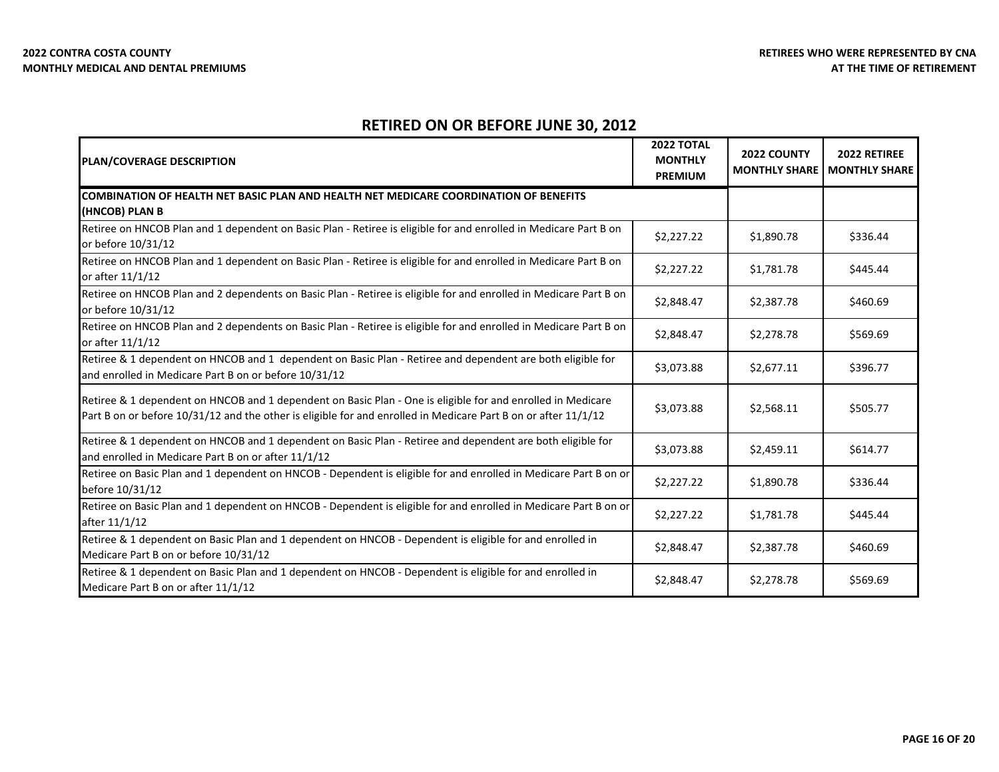| <b>PLAN/COVERAGE DESCRIPTION</b>                                                                                                                                                                                              | <b>2022 TOTAL</b><br><b>MONTHLY</b><br><b>PREMIUM</b> | 2022 COUNTY<br><b>MONTHLY SHARE</b> | 2022 RETIREE<br><b>MONTHLY SHARE</b> |
|-------------------------------------------------------------------------------------------------------------------------------------------------------------------------------------------------------------------------------|-------------------------------------------------------|-------------------------------------|--------------------------------------|
| COMBINATION OF HEALTH NET BASIC PLAN AND HEALTH NET MEDICARE COORDINATION OF BENEFITS<br>(HNCOB) PLAN B                                                                                                                       |                                                       |                                     |                                      |
| Retiree on HNCOB Plan and 1 dependent on Basic Plan - Retiree is eligible for and enrolled in Medicare Part B on<br>or before 10/31/12                                                                                        | \$2,227.22                                            | \$1,890.78                          | \$336.44                             |
| Retiree on HNCOB Plan and 1 dependent on Basic Plan - Retiree is eligible for and enrolled in Medicare Part B on<br>or after 11/1/12                                                                                          | \$2,227.22                                            | \$1,781.78                          | \$445.44                             |
| Retiree on HNCOB Plan and 2 dependents on Basic Plan - Retiree is eligible for and enrolled in Medicare Part B on<br>or before 10/31/12                                                                                       | \$2,848.47                                            | \$2,387.78                          | \$460.69                             |
| Retiree on HNCOB Plan and 2 dependents on Basic Plan - Retiree is eligible for and enrolled in Medicare Part B on<br>or after 11/1/12                                                                                         | \$2,848.47                                            | \$2,278.78                          | \$569.69                             |
| Retiree & 1 dependent on HNCOB and 1 dependent on Basic Plan - Retiree and dependent are both eligible for<br>and enrolled in Medicare Part B on or before 10/31/12                                                           | \$3,073.88                                            | \$2,677.11                          | \$396.77                             |
| Retiree & 1 dependent on HNCOB and 1 dependent on Basic Plan - One is eligible for and enrolled in Medicare<br>Part B on or before 10/31/12 and the other is eligible for and enrolled in Medicare Part B on or after 11/1/12 | \$3,073.88                                            | \$2,568.11                          | \$505.77                             |
| Retiree & 1 dependent on HNCOB and 1 dependent on Basic Plan - Retiree and dependent are both eligible for<br>and enrolled in Medicare Part B on or after 11/1/12                                                             | \$3,073.88                                            | \$2,459.11                          | \$614.77                             |
| Retiree on Basic Plan and 1 dependent on HNCOB - Dependent is eligible for and enrolled in Medicare Part B on or<br>before 10/31/12                                                                                           | \$2,227.22                                            | \$1,890.78                          | \$336.44                             |
| Retiree on Basic Plan and 1 dependent on HNCOB - Dependent is eligible for and enrolled in Medicare Part B on or<br>after 11/1/12                                                                                             | \$2,227.22                                            | \$1,781.78                          | \$445.44                             |
| Retiree & 1 dependent on Basic Plan and 1 dependent on HNCOB - Dependent is eligible for and enrolled in<br>Medicare Part B on or before 10/31/12                                                                             | \$2,848.47                                            | \$2,387.78                          | \$460.69                             |
| Retiree & 1 dependent on Basic Plan and 1 dependent on HNCOB - Dependent is eligible for and enrolled in<br>Medicare Part B on or after 11/1/12                                                                               | \$2,848.47                                            | \$2,278.78                          | \$569.69                             |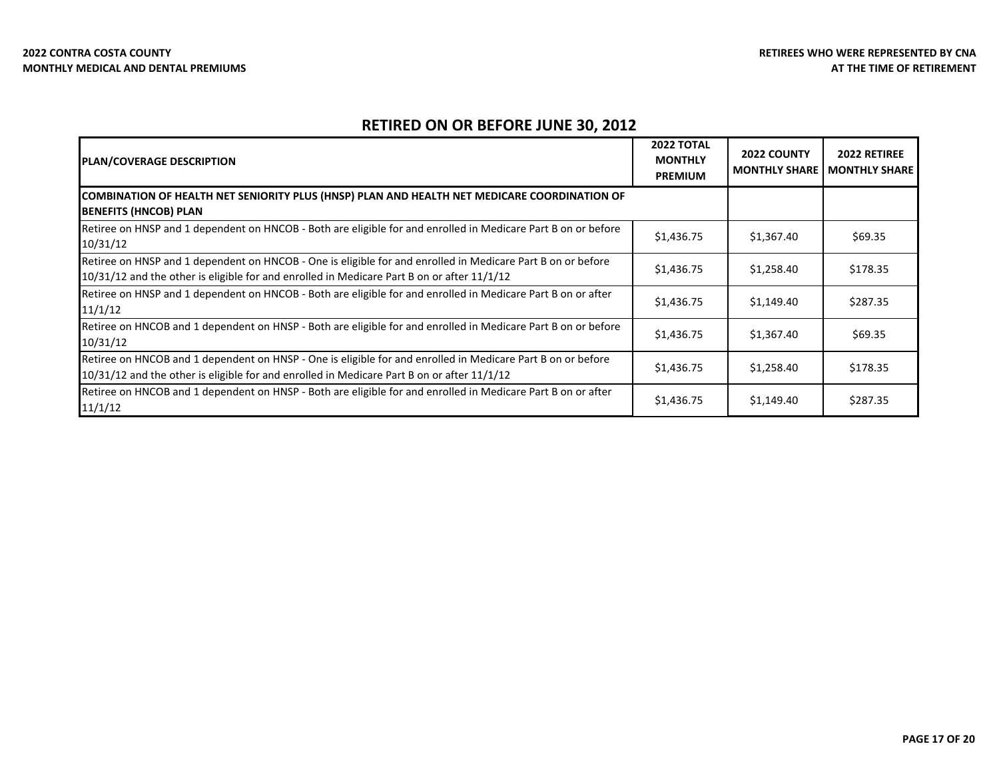| PLAN/COVERAGE DESCRIPTION                                                                                                                                                                                 | <b>2022 TOTAL</b><br><b>MONTHLY</b><br><b>PREMIUM</b> | <b>2022 COUNTY</b><br><b>MONTHLY SHARE</b> | <b>2022 RETIREE</b><br><b>MONTHLY SHARE</b> |
|-----------------------------------------------------------------------------------------------------------------------------------------------------------------------------------------------------------|-------------------------------------------------------|--------------------------------------------|---------------------------------------------|
| COMBINATION OF HEALTH NET SENIORITY PLUS (HNSP) PLAN AND HEALTH NET MEDICARE COORDINATION OF<br><b>BENEFITS (HNCOB) PLAN</b>                                                                              |                                                       |                                            |                                             |
| Retiree on HNSP and 1 dependent on HNCOB - Both are eligible for and enrolled in Medicare Part B on or before<br>10/31/12                                                                                 | \$1,436.75                                            | \$1,367.40                                 | \$69.35                                     |
| Retiree on HNSP and 1 dependent on HNCOB - One is eligible for and enrolled in Medicare Part B on or before<br>10/31/12 and the other is eligible for and enrolled in Medicare Part B on or after 11/1/12 | \$1,436.75                                            | \$1,258.40                                 | \$178.35                                    |
| Retiree on HNSP and 1 dependent on HNCOB - Both are eligible for and enrolled in Medicare Part B on or after<br>11/1/12                                                                                   | \$1,436.75                                            | \$1,149.40                                 | \$287.35                                    |
| Retiree on HNCOB and 1 dependent on HNSP - Both are eligible for and enrolled in Medicare Part B on or before<br>10/31/12                                                                                 | \$1,436.75                                            | \$1,367.40                                 | \$69.35                                     |
| Retiree on HNCOB and 1 dependent on HNSP - One is eligible for and enrolled in Medicare Part B on or before<br>10/31/12 and the other is eligible for and enrolled in Medicare Part B on or after 11/1/12 | \$1,436.75                                            | \$1,258.40                                 | \$178.35                                    |
| Retiree on HNCOB and 1 dependent on HNSP - Both are eligible for and enrolled in Medicare Part B on or after<br>11/1/12                                                                                   | \$1,436.75                                            | \$1,149.40                                 | \$287.35                                    |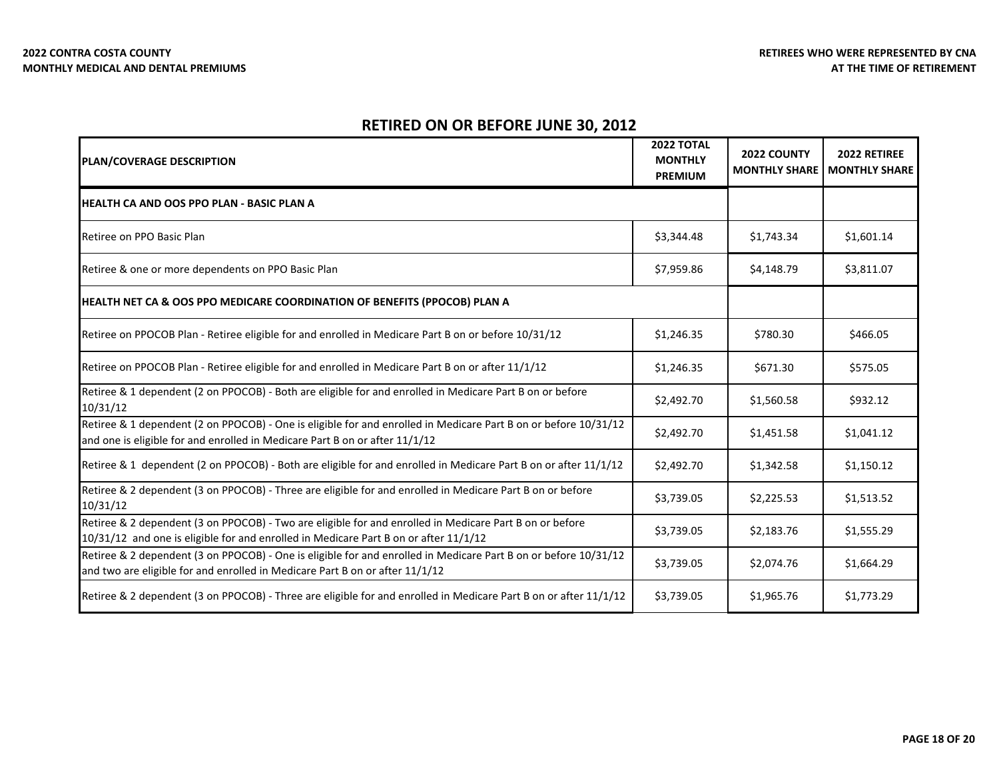| PLAN/COVERAGE DESCRIPTION                                                                                                                                                                       | 2022 TOTAL<br><b>MONTHLY</b><br><b>PREMIUM</b> | 2022 COUNTY<br><b>MONTHLY SHARE</b> | 2022 RETIREE<br><b>MONTHLY SHARE</b> |
|-------------------------------------------------------------------------------------------------------------------------------------------------------------------------------------------------|------------------------------------------------|-------------------------------------|--------------------------------------|
| HEALTH CA AND OOS PPO PLAN - BASIC PLAN A                                                                                                                                                       |                                                |                                     |                                      |
| Retiree on PPO Basic Plan                                                                                                                                                                       | \$3,344.48                                     | \$1,743.34                          | \$1,601.14                           |
| Retiree & one or more dependents on PPO Basic Plan                                                                                                                                              | \$7,959.86                                     | \$4,148.79                          | \$3,811.07                           |
| HEALTH NET CA & OOS PPO MEDICARE COORDINATION OF BENEFITS (PPOCOB) PLAN A                                                                                                                       |                                                |                                     |                                      |
| Retiree on PPOCOB Plan - Retiree eligible for and enrolled in Medicare Part B on or before 10/31/12                                                                                             | \$1,246.35                                     | \$780.30                            | \$466.05                             |
| Retiree on PPOCOB Plan - Retiree eligible for and enrolled in Medicare Part B on or after 11/1/12                                                                                               | \$1,246.35                                     | \$671.30                            | \$575.05                             |
| Retiree & 1 dependent (2 on PPOCOB) - Both are eligible for and enrolled in Medicare Part B on or before<br>10/31/12                                                                            | \$2,492.70                                     | \$1,560.58                          | \$932.12                             |
| Retiree & 1 dependent (2 on PPOCOB) - One is eligible for and enrolled in Medicare Part B on or before 10/31/12<br>and one is eligible for and enrolled in Medicare Part B on or after 11/1/12  | \$2,492.70                                     | \$1,451.58                          | \$1,041.12                           |
| Retiree & 1 dependent (2 on PPOCOB) - Both are eligible for and enrolled in Medicare Part B on or after 11/1/12                                                                                 | \$2,492.70                                     | \$1,342.58                          | \$1,150.12                           |
| Retiree & 2 dependent (3 on PPOCOB) - Three are eligible for and enrolled in Medicare Part B on or before<br>10/31/12                                                                           | \$3,739.05                                     | \$2,225.53                          | \$1,513.52                           |
| Retiree & 2 dependent (3 on PPOCOB) - Two are eligible for and enrolled in Medicare Part B on or before<br>10/31/12 and one is eligible for and enrolled in Medicare Part B on or after 11/1/12 | \$3,739.05                                     | \$2,183.76                          | \$1,555.29                           |
| Retiree & 2 dependent (3 on PPOCOB) - One is eligible for and enrolled in Medicare Part B on or before 10/31/12<br>and two are eligible for and enrolled in Medicare Part B on or after 11/1/12 | \$3,739.05                                     | \$2,074.76                          | \$1,664.29                           |
| Retiree & 2 dependent (3 on PPOCOB) - Three are eligible for and enrolled in Medicare Part B on or after 11/1/12                                                                                | \$3,739.05                                     | \$1,965.76                          | \$1,773.29                           |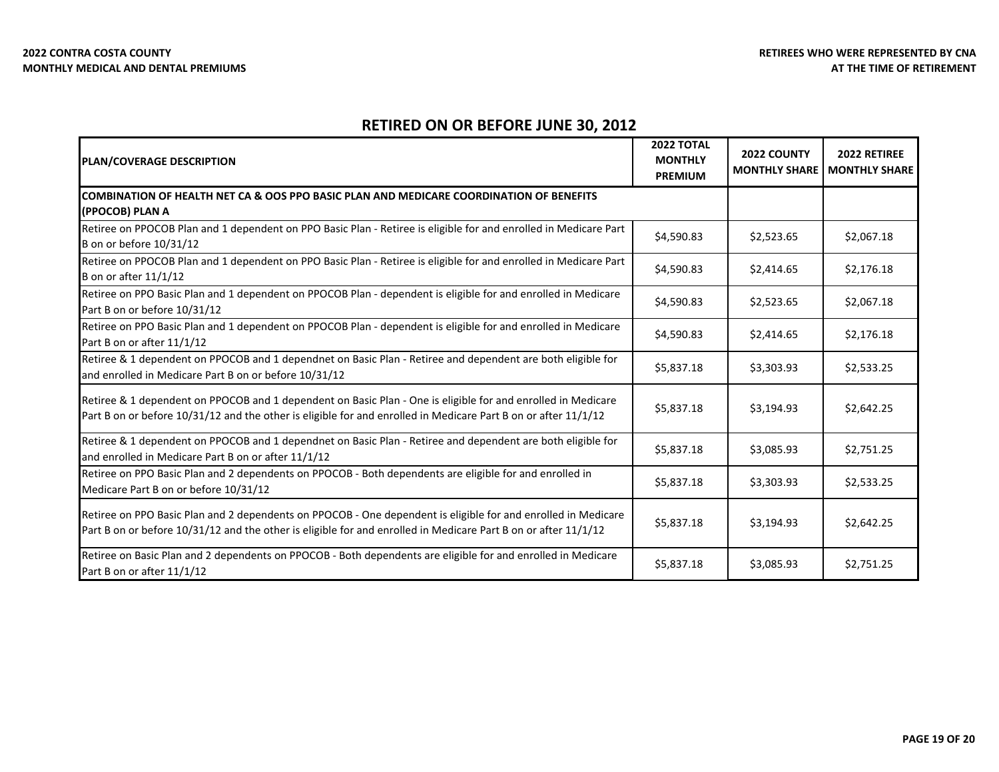| <b>PLAN/COVERAGE DESCRIPTION</b>                                                                                                                                                                                                | <b>2022 TOTAL</b><br><b>MONTHLY</b><br><b>PREMIUM</b> | 2022 COUNTY<br><b>MONTHLY SHARE</b> | 2022 RETIREE<br><b>MONTHLY SHARE</b> |
|---------------------------------------------------------------------------------------------------------------------------------------------------------------------------------------------------------------------------------|-------------------------------------------------------|-------------------------------------|--------------------------------------|
| COMBINATION OF HEALTH NET CA & OOS PPO BASIC PLAN AND MEDICARE COORDINATION OF BENEFITS<br>(PPOCOB) PLAN A                                                                                                                      |                                                       |                                     |                                      |
| Retiree on PPOCOB Plan and 1 dependent on PPO Basic Plan - Retiree is eligible for and enrolled in Medicare Part<br>B on or before 10/31/12                                                                                     | \$4,590.83                                            | \$2,523.65                          | \$2,067.18                           |
| Retiree on PPOCOB Plan and 1 dependent on PPO Basic Plan - Retiree is eligible for and enrolled in Medicare Part<br><b>B</b> on or after 11/1/12                                                                                | \$4,590.83                                            | \$2,414.65                          | \$2,176.18                           |
| Retiree on PPO Basic Plan and 1 dependent on PPOCOB Plan - dependent is eligible for and enrolled in Medicare<br>Part B on or before 10/31/12                                                                                   | \$4,590.83                                            | \$2,523.65                          | \$2,067.18                           |
| Retiree on PPO Basic Plan and 1 dependent on PPOCOB Plan - dependent is eligible for and enrolled in Medicare<br>Part B on or after 11/1/12                                                                                     | \$4,590.83                                            | \$2,414.65                          | \$2,176.18                           |
| Retiree & 1 dependent on PPOCOB and 1 dependnet on Basic Plan - Retiree and dependent are both eligible for<br>and enrolled in Medicare Part B on or before 10/31/12                                                            | \$5,837.18                                            | \$3,303.93                          | \$2,533.25                           |
| Retiree & 1 dependent on PPOCOB and 1 dependent on Basic Plan - One is eligible for and enrolled in Medicare<br>Part B on or before 10/31/12 and the other is eligible for and enrolled in Medicare Part B on or after 11/1/12  | \$5,837.18                                            | \$3,194.93                          | \$2,642.25                           |
| Retiree & 1 dependent on PPOCOB and 1 dependnet on Basic Plan - Retiree and dependent are both eligible for<br>and enrolled in Medicare Part B on or after 11/1/12                                                              | \$5,837.18                                            | \$3,085.93                          | \$2,751.25                           |
| Retiree on PPO Basic Plan and 2 dependents on PPOCOB - Both dependents are eligible for and enrolled in<br>Medicare Part B on or before 10/31/12                                                                                | \$5,837.18                                            | \$3,303.93                          | \$2,533.25                           |
| Retiree on PPO Basic Plan and 2 dependents on PPOCOB - One dependent is eligible for and enrolled in Medicare<br>Part B on or before 10/31/12 and the other is eligible for and enrolled in Medicare Part B on or after 11/1/12 | \$5,837.18                                            | \$3,194.93                          | \$2,642.25                           |
| Retiree on Basic Plan and 2 dependents on PPOCOB - Both dependents are eligible for and enrolled in Medicare<br>Part B on or after 11/1/12                                                                                      | \$5,837.18                                            | \$3,085.93                          | \$2,751.25                           |